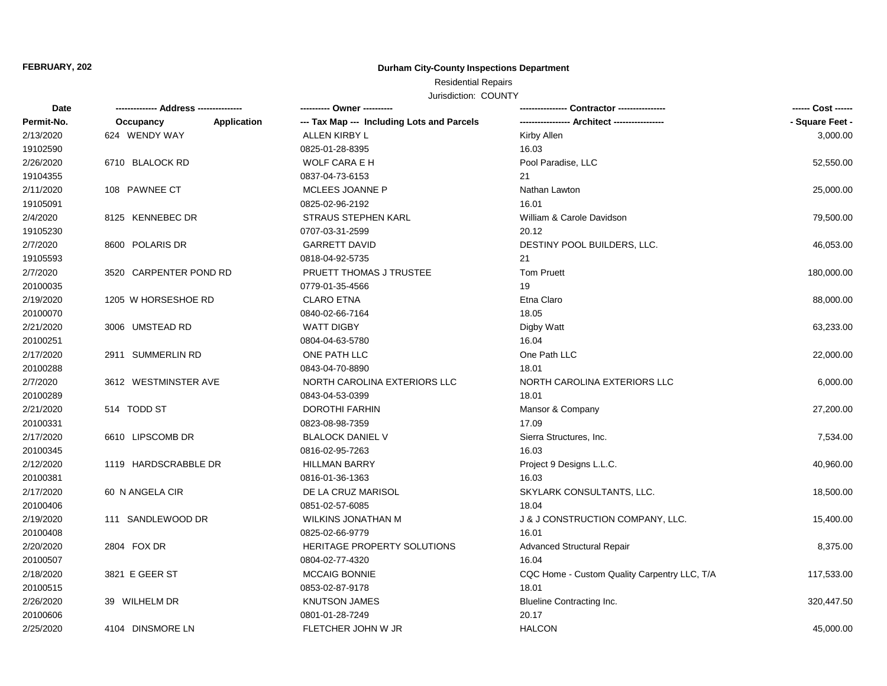### FEBRUARY, 202

## **Durham City-County Inspections Department**

# Residential Repairs

Jurisdiction: COUNTY

| Date       | ------------- Address --------------- | ---------- Owner ----------                               |                                              | ------ Cost ------ |
|------------|---------------------------------------|-----------------------------------------------------------|----------------------------------------------|--------------------|
| Permit-No. | Occupancy                             | --- Tax Map --- Including Lots and Parcels<br>Application |                                              | - Square Feet -    |
| 2/13/2020  | 624 WENDY WAY                         | <b>ALLEN KIRBY L</b>                                      | Kirby Allen                                  | 3,000.00           |
| 19102590   |                                       | 0825-01-28-8395                                           | 16.03                                        |                    |
| 2/26/2020  | 6710 BLALOCK RD                       | WOLF CARA E H                                             | Pool Paradise, LLC                           | 52,550.00          |
| 19104355   |                                       | 0837-04-73-6153                                           | 21                                           |                    |
| 2/11/2020  | 108 PAWNEE CT                         | MCLEES JOANNE P                                           | Nathan Lawton                                | 25,000.00          |
| 19105091   |                                       | 0825-02-96-2192                                           | 16.01                                        |                    |
| 2/4/2020   | 8125 KENNEBEC DR                      | <b>STRAUS STEPHEN KARL</b>                                | William & Carole Davidson                    | 79,500.00          |
| 19105230   |                                       | 0707-03-31-2599                                           | 20.12                                        |                    |
| 2/7/2020   | 8600 POLARIS DR                       | <b>GARRETT DAVID</b>                                      | DESTINY POOL BUILDERS, LLC.                  | 46,053.00          |
| 19105593   |                                       | 0818-04-92-5735                                           | 21                                           |                    |
| 2/7/2020   | 3520 CARPENTER POND RD                | PRUETT THOMAS J TRUSTEE                                   | <b>Tom Pruett</b>                            | 180,000.00         |
| 20100035   |                                       | 0779-01-35-4566                                           | 19                                           |                    |
| 2/19/2020  | 1205 W HORSESHOE RD                   | <b>CLARO ETNA</b>                                         | Etna Claro                                   | 88,000.00          |
| 20100070   |                                       | 0840-02-66-7164                                           | 18.05                                        |                    |
| 2/21/2020  | 3006 UMSTEAD RD                       | <b>WATT DIGBY</b>                                         | Digby Watt                                   | 63,233.00          |
| 20100251   |                                       | 0804-04-63-5780                                           | 16.04                                        |                    |
| 2/17/2020  | 2911 SUMMERLIN RD                     | ONE PATH LLC                                              | One Path LLC                                 | 22,000.00          |
| 20100288   |                                       | 0843-04-70-8890                                           | 18.01                                        |                    |
| 2/7/2020   | 3612 WESTMINSTER AVE                  | NORTH CAROLINA EXTERIORS LLC                              | NORTH CAROLINA EXTERIORS LLC                 | 6,000.00           |
| 20100289   |                                       | 0843-04-53-0399                                           | 18.01                                        |                    |
| 2/21/2020  | 514 TODD ST                           | DOROTHI FARHIN                                            | Mansor & Company                             | 27,200.00          |
| 20100331   |                                       | 0823-08-98-7359                                           | 17.09                                        |                    |
| 2/17/2020  | 6610 LIPSCOMB DR                      | <b>BLALOCK DANIEL V</b>                                   | Sierra Structures, Inc.                      | 7,534.00           |
| 20100345   |                                       | 0816-02-95-7263                                           | 16.03                                        |                    |
| 2/12/2020  | 1119 HARDSCRABBLE DR                  | <b>HILLMAN BARRY</b>                                      | Project 9 Designs L.L.C.                     | 40,960.00          |
| 20100381   |                                       | 0816-01-36-1363                                           | 16.03                                        |                    |
| 2/17/2020  | 60 N ANGELA CIR                       | DE LA CRUZ MARISOL                                        | SKYLARK CONSULTANTS, LLC.                    | 18,500.00          |
| 20100406   |                                       | 0851-02-57-6085                                           | 18.04                                        |                    |
| 2/19/2020  | 111 SANDLEWOOD DR                     | WILKINS JONATHAN M                                        | J & J CONSTRUCTION COMPANY, LLC.             | 15,400.00          |
| 20100408   |                                       | 0825-02-66-9779                                           | 16.01                                        |                    |
| 2/20/2020  | 2804 FOX DR                           | HERITAGE PROPERTY SOLUTIONS                               | <b>Advanced Structural Repair</b>            | 8,375.00           |
| 20100507   |                                       | 0804-02-77-4320                                           | 16.04                                        |                    |
| 2/18/2020  | 3821 E GEER ST                        | <b>MCCAIG BONNIE</b>                                      | CQC Home - Custom Quality Carpentry LLC, T/A | 117,533.00         |
| 20100515   |                                       | 0853-02-87-9178                                           | 18.01                                        |                    |
| 2/26/2020  | 39 WILHELM DR                         | <b>KNUTSON JAMES</b>                                      | <b>Blueline Contracting Inc.</b>             | 320,447.50         |
| 20100606   |                                       | 0801-01-28-7249                                           | 20.17                                        |                    |
| 2/25/2020  | 4104 DINSMORE LN                      | FLETCHER JOHN W JR                                        | <b>HALCON</b>                                | 45,000.00          |